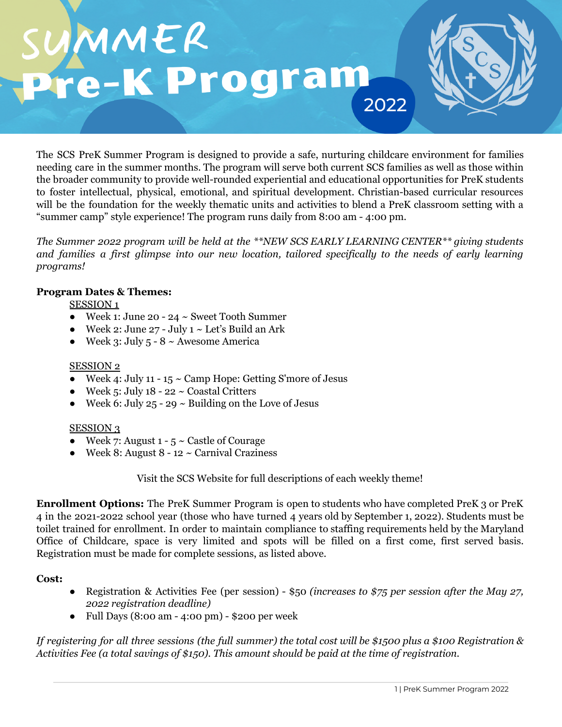# SUMMER<br>Pre-K Program 2022



The SCS PreK Summer Program is designed to provide a safe, nurturing childcare environment for families needing care in the summer months. The program will serve both current SCS families as well as those within the broader community to provide well-rounded experiential and educational opportunities for PreK students to foster intellectual, physical, emotional, and spiritual development. Christian-based curricular resources will be the foundation for the weekly thematic units and activities to blend a PreK classroom setting with a "summer camp" style experience! The program runs daily from 8:00 am - 4:00 pm.

*The Summer 2022 program will be held at the \*\*NEW SCS EARLY LEARNING CENTER\*\* giving students and families a first glimpse into our new location, tailored specifically to the needs of early learning programs!*

#### **Program Dates & Themes:**

SESSION 1

- Week 1: June 20 24  $\sim$  Sweet Tooth Summer
- Week 2: June 27 July 1  $\sim$  Let's Build an Ark
- Week 3: July  $5 8 \sim$  Awesome America

#### SESSION 2

- Week 4: July 11 15  $\sim$  Camp Hope: Getting S'more of Jesus
- Week 5: July  $18 22 \sim$  Coastal Critters
- Week 6: July  $25 29 \sim$  Building on the Love of Jesus

#### SESSION 3

- Week 7: August  $1 5 \sim$  Castle of Courage
- Week 8: August  $8 12 \sim$  Carnival Craziness

Visit the SCS Website for full descriptions of each weekly theme!

**Enrollment Options:** The PreK Summer Program is open to students who have completed PreK 3 or PreK 4 in the 2021-2022 school year (those who have turned 4 years old by September 1, 2022). Students must be toilet trained for enrollment. In order to maintain compliance to staffing requirements held by the Maryland Office of Childcare, space is very limited and spots will be filled on a first come, first served basis. Registration must be made for complete sessions, as listed above.

#### **Cost:**

- Registration & Activities Fee (per session) \$50 *(increases to \$75 per session after the May 27, 2022 registration deadline)*
- Full Days (8:00 am 4:00 pm) \$200 per week

If registering for all three sessions (the full summer) the total cost will be \$1500 plus a \$100 Registration  $\&$ *Activities Fee (a total savings of \$150). This amount should be paid at the time of registration.*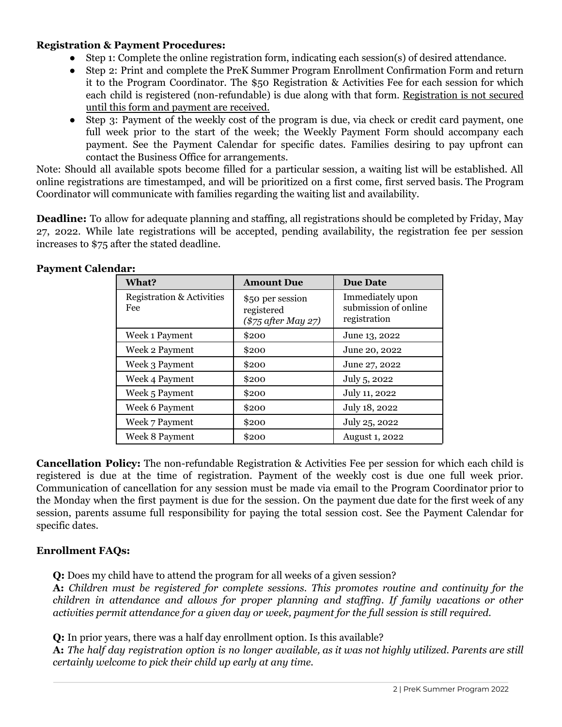### **Registration & Payment Procedures:**

- Step 1: Complete the online registration form, indicating each session(s) of desired attendance.
- Step 2: Print and complete the PreK Summer Program Enrollment Confirmation Form and return it to the Program Coordinator. The \$50 Registration & Activities Fee for each session for which each child is registered (non-refundable) is due along with that form. Registration is not secured until this form and payment are received.
- Step 3: Payment of the weekly cost of the program is due, via check or credit card payment, one full week prior to the start of the week; the Weekly Payment Form should accompany each payment. See the Payment Calendar for specific dates. Families desiring to pay upfront can contact the Business Office for arrangements.

Note: Should all available spots become filled for a particular session, a waiting list will be established. All online registrations are timestamped, and will be prioritized on a first come, first served basis. The Program Coordinator will communicate with families regarding the waiting list and availability.

**Deadline:** To allow for adequate planning and staffing, all registrations should be completed by Friday, May 27, 2022. While late registrations will be accepted, pending availability, the registration fee per session increases to \$75 after the stated deadline.

| What?                                       | <b>Amount Due</b>                                       | <b>Due Date</b>                                          |
|---------------------------------------------|---------------------------------------------------------|----------------------------------------------------------|
| <b>Registration &amp; Activities</b><br>Fee | \$50 per session<br>registered<br>$(\$75$ after May 27) | Immediately upon<br>submission of online<br>registration |
| Week 1 Payment                              | \$200                                                   | June 13, 2022                                            |
| Week 2 Payment                              | \$200                                                   | June 20, 2022                                            |
| Week 3 Payment                              | \$200                                                   | June 27, 2022                                            |
| Week 4 Payment                              | \$200                                                   | July 5, 2022                                             |
| Week 5 Payment                              | \$200                                                   | July 11, 2022                                            |
| Week 6 Payment                              | \$200                                                   | July 18, 2022                                            |
| Week 7 Payment                              | \$200                                                   | July 25, 2022                                            |
| Week 8 Payment                              | \$200                                                   | August 1, 2022                                           |

#### **Payment Calendar:**

**Cancellation Policy:** The non-refundable Registration & Activities Fee per session for which each child is registered is due at the time of registration. Payment of the weekly cost is due one full week prior. Communication of cancellation for any session must be made via email to the Program Coordinator prior to the Monday when the first payment is due for the session. On the payment due date for the first week of any session, parents assume full responsibility for paying the total session cost. See the Payment Calendar for specific dates.

## **Enrollment FAQs:**

**Q:** Does my child have to attend the program for all weeks of a given session?

**A:** *Children must be registered for complete sessions. This promotes routine and continuity for the children in attendance and allows for proper planning and staf ing. If family vacations or other activities permit attendance for a given day or week, payment for the full session is still required.*

**Q:** In prior years, there was a half day enrollment option. Is this available?

A: The half day registration option is no longer available, as it was not highly utilized. Parents are still *certainly welcome to pick their child up early at any time.*